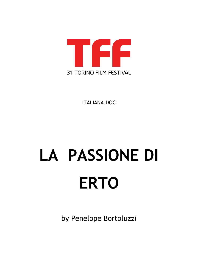

ITALIANA.DOC

## **LA PASSIONE DI ERTO**

by Penelope Bortoluzzi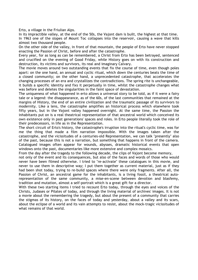Erto, a village in the Friulian Alps.

In its impractible valley, at the end of the 50s, the Vajont dam is built, the highest at that time. In 1963 one of the slopes of Mount Toc collapses into the reservoir, causing a wave that kills almost two thousand people.

On the other side of the valley, in front of that mountain, the people of Erto have never stopped enacting the Passion of Christ, before and after the catastrophe.

Every year, for as long as can be remembered, a Christ from Erto has been betrayed, sentenced and crucified on the evening of Good Friday, while History goes on with its construction and destruction, its victims and survivors, its real and imaginary Calvary.

The movie moves around two outstanding events that fix the course of time, even though poles apart: on the one hand, an annual and cyclic ritual, which down the centuries beats the time of a closed community; on the other hand, a unprecedented catastrophe, that accelerates the changing processes of an era and crystallizes the contradictions. The spring rite is unchangeable, it builds a specific identity and fixs it perpetually in time, whilst the catastrophe changes what was before and deletes the singularities in the faint space of devastation.

The uniqueness of what happened in erto allows a universal story to be told, as if it were a fairy tale or a legend: the disappearance, as of the 60s, of the last communities that remained at the margins of History, the end of an entire civilization and the traumatic passage of its survivors to modernity. Like a lens, the catastrophe amplifies an historical process which elsewhere took fifty years, but in the Vajont valley happened overnight. At the same time, the Passion the inhabitants put on is a real theatrical representation of that ancestral world which conceived its own existence only in past generations' spaces and roles. In Erto people literally took the role of their predecessors, in life as in the Representation.

The short circuit of Erto's history, the catastrophe's irruption into the ritual's cyclic time, was for me the thing that made a film narration impossible. With the images taken after the catastrophe, and the vicissitudes of a centuries-old Representation, we can talk "presently" also of the past, because this is not a narration, but something that happens in front of the camera. Catalogued images often appear for wounds, abysses, dramatic historical events that open windows onto the past, documentaries like more extensive and complex mosaics.

From the day after the tragedy to the following decade, the clips of Vajont become memory,

not only of the event and its consequences, but also of the faces and words of those who would never have been filmed otherwise. I tried to "re-activate" these catalogues in this movie, and never to use them in descriptive way; I put them together as current material, just as if they had been shot today, trying to re-build spaces where there were only fragments. After all, the Passion of Christ, an ancestral game for the inhabitants, is a living fossil, a theatrical autorepresentation of the same community, a mise-en-scene between devotion and blasfemy, tradition and mutation, almost a self-portrait which is a great gift for a director.

With these two starting items I tried to recount Erto today, through the eyes and voices of the Christs, Judases or Pilates of today, and through the living material of archives' images. It is not a movie about the remembering the tragedy, but about the present of a community that carries the stigmas of its history, on the faces of today and yesterday, about a valley and its scars, about the eclipse of a world and its vain attempts to resist, about the mock-tragic vicissitudes of what remains of that world.